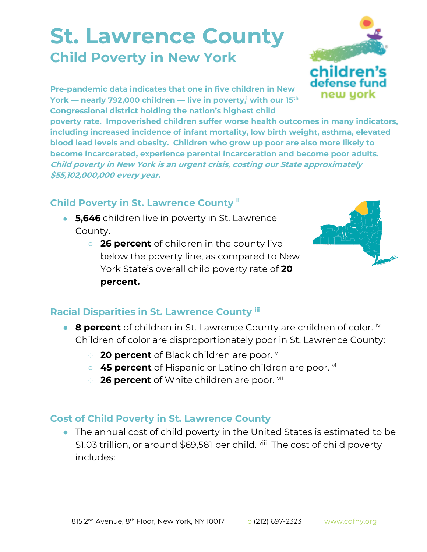## **St. Lawrence County Child Poverty in New York**



**Pre-pandemic data indicates that one in five children in New York — nearly 792,000 children — live in poverty,<sup>i</sup> with our 15th Congressional district holding the nation's highest child** 

**poverty rate. Impoverished children suffer worse health outcomes in many indicators, including increased incidence of infant mortality, low birth weight, asthma, elevated blood lead levels and obesity. Children who grow up poor are also more likely to become incarcerated, experience parental incarceration and become poor adults. Child poverty in New York is an urgent crisis, costing our State approximately \$55,102,000,000 every year.**

## **Child Poverty in St. Lawrence County ii**

- **5,646** children live in poverty in St. Lawrence County.
	- **26 percent** of children in the county live below the poverty line, as compared to New York State's overall child poverty rate of **20 percent.**



## **Racial Disparities in St. Lawrence County iii**

- **8 percent** of children in St. Lawrence County are children of color. <sup>iv</sup> Children of color are disproportionately poor in St. Lawrence County:
	- **20 percent** of Black children are poor. **v**
	- 45 percent of Hispanic or Latino children are poor. <sup>vi</sup>
	- o **26 percent** of White children are poor. vii

## **Cost of Child Poverty in St. Lawrence County**

● The annual cost of child poverty in the United States is estimated to be \$1.03 trillion, or around \$69,581 per child. <sup>viii</sup> The cost of child poverty includes: